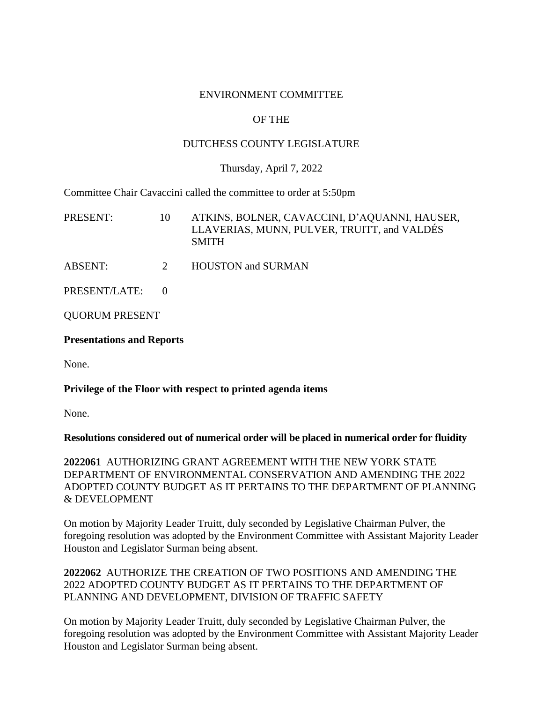## ENVIRONMENT COMMITTEE

# OF THE

# DUTCHESS COUNTY LEGISLATURE

## Thursday, April 7, 2022

Committee Chair Cavaccini called the committee to order at 5:50pm

| PRESENT:              | 10          | ATKINS, BOLNER, CAVACCINI, D'AQUANNI, HAUSER,<br>LLAVERIAS, MUNN, PULVER, TRUITT, and VALDÉS<br><b>SMITH</b> |
|-----------------------|-------------|--------------------------------------------------------------------------------------------------------------|
| <b>ABSENT:</b>        | $2^{\circ}$ | <b>HOUSTON and SURMAN</b>                                                                                    |
| PRESENT/LATE:         |             |                                                                                                              |
| <b>QUORUM PRESENT</b> |             |                                                                                                              |

#### **Presentations and Reports**

None.

# **Privilege of the Floor with respect to printed agenda items**

None.

#### **Resolutions considered out of numerical order will be placed in numerical order for fluidity**

**2022061** AUTHORIZING GRANT AGREEMENT WITH THE NEW YORK STATE DEPARTMENT OF ENVIRONMENTAL CONSERVATION AND AMENDING THE 2022 ADOPTED COUNTY BUDGET AS IT PERTAINS TO THE DEPARTMENT OF PLANNING & DEVELOPMENT

On motion by Majority Leader Truitt, duly seconded by Legislative Chairman Pulver, the foregoing resolution was adopted by the Environment Committee with Assistant Majority Leader Houston and Legislator Surman being absent.

**2022062** AUTHORIZE THE CREATION OF TWO POSITIONS AND AMENDING THE 2022 ADOPTED COUNTY BUDGET AS IT PERTAINS TO THE DEPARTMENT OF PLANNING AND DEVELOPMENT, DIVISION OF TRAFFIC SAFETY

On motion by Majority Leader Truitt, duly seconded by Legislative Chairman Pulver, the foregoing resolution was adopted by the Environment Committee with Assistant Majority Leader Houston and Legislator Surman being absent.